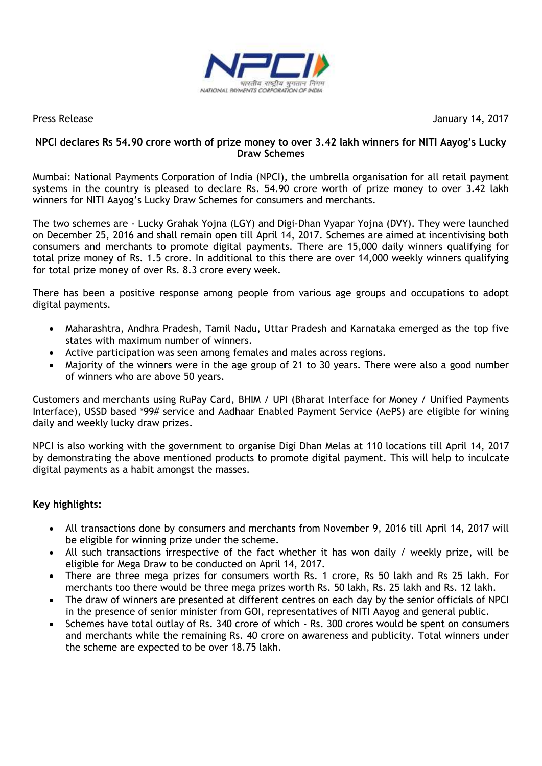

Press Release January 14, 2017

# **NPCI declares Rs 54.90 crore worth of prize money to over 3.42 lakh winners for NITI Aayog's Lucky Draw Schemes**

Mumbai: National Payments Corporation of India (NPCI), the umbrella organisation for all retail payment systems in the country is pleased to declare Rs. 54.90 crore worth of prize money to over 3.42 lakh winners for NITI Aayog's Lucky Draw Schemes for consumers and merchants.

The two schemes are - Lucky Grahak Yojna (LGY) and Digi-Dhan Vyapar Yojna (DVY). They were launched on December 25, 2016 and shall remain open till April 14, 2017. Schemes are aimed at incentivising both consumers and merchants to promote digital payments. There are 15,000 daily winners qualifying for total prize money of Rs. 1.5 crore. In additional to this there are over 14,000 weekly winners qualifying for total prize money of over Rs. 8.3 crore every week.

There has been a positive response among people from various age groups and occupations to adopt digital payments.

- Maharashtra, Andhra Pradesh, Tamil Nadu, Uttar Pradesh and Karnataka emerged as the top five states with maximum number of winners.
- Active participation was seen among females and males across regions.
- Majority of the winners were in the age group of 21 to 30 years. There were also a good number of winners who are above 50 years.

Customers and merchants using RuPay Card, BHIM / UPI (Bharat Interface for Money / Unified Payments Interface), USSD based \*99# service and Aadhaar Enabled Payment Service (AePS) are eligible for wining daily and weekly lucky draw prizes.

NPCI is also working with the government to organise Digi Dhan Melas at 110 locations till April 14, 2017 by demonstrating the above mentioned products to promote digital payment. This will help to inculcate digital payments as a habit amongst the masses.

## **Key highlights:**

- All transactions done by consumers and merchants from November 9, 2016 till April 14, 2017 will be eligible for winning prize under the scheme.
- All such transactions irrespective of the fact whether it has won daily / weekly prize, will be eligible for Mega Draw to be conducted on April 14, 2017.
- There are three mega prizes for consumers worth Rs. 1 crore, Rs 50 lakh and Rs 25 lakh. For merchants too there would be three mega prizes worth Rs. 50 lakh, Rs. 25 lakh and Rs. 12 lakh.
- The draw of winners are presented at different centres on each day by the senior officials of NPCI in the presence of senior minister from GOI, representatives of NITI Aayog and general public.
- Schemes have total outlay of Rs. 340 crore of which Rs. 300 crores would be spent on consumers and merchants while the remaining Rs. 40 crore on awareness and publicity. Total winners under the scheme are expected to be over 18.75 lakh.